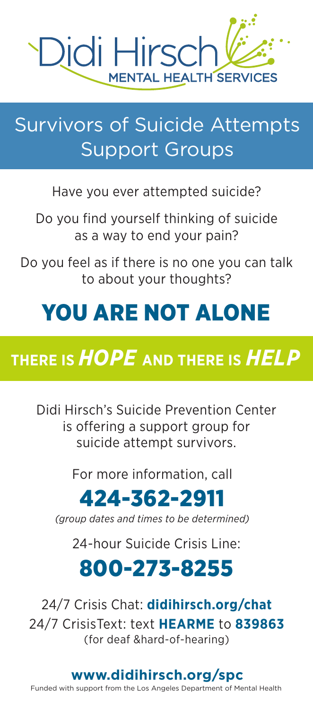

## Survivors of Suicide Attempts Support Groups

Have you ever attempted suicide?

Do you find yourself thinking of suicide as a way to end your pain?

Do you feel as if there is no one you can talk to about your thoughts?

# YOU ARE NOT ALONE

## **THERE IS** *HOPE* **AND THERE IS** *HELP*

Didi Hirsch's Suicide Prevention Center is offering a support group for suicide attempt survivors.

For more information, call

## 424-362-2911

*(group dates and times to be determined)*

24-hour Suicide Crisis Line:

## 800-273-8255

24/7 Crisis Chat: **didihirsch.org/chat**  24/7 CrisisText: text **HEARME** to **839863** (for deaf &hard-of-hearing)

### **www.didihirsch.org/spc**

Funded with support from the Los Angeles Department of Mental Health